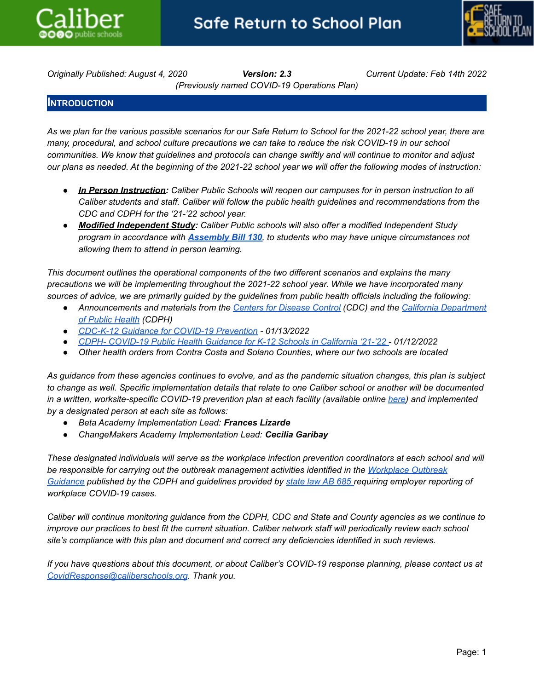



*Originally Published: August 4, 2020 Version: 2.3 Current Update: Feb 14th 2022 (Previously named COVID-19 Operations Plan)*

# **INTRODUCTION**

As we plan for the various possible scenarios for our Safe Return to School for the 2021-22 school year, there are *many, procedural, and school culture precautions we can take to reduce the risk COVID-19 in our school* communities. We know that guidelines and protocols can change swiftly and will continue to monitor and adjust our plans as needed. At the beginning of the 2021-22 school year we will offer the following modes of instruction:

- *● In Person Instruction: Caliber Public Schools will reopen our campuses for in person instruction to all Caliber students and staff. Caliber will follow the public health guidelines and recommendations from the CDC and CDPH for the '21-'22 school year.*
- *● Modified Independent Study: Caliber Public schools will also offer a modified Independent Study program in accordance with [Assembly](https://www.cde.ca.gov/sp/eo/is/) Bill 130, to students who may have unique circumstances not allowing them to attend in person learning.*

*This document outlines the operational components of the two different scenarios and explains the many precautions we will be implementing throughout the 2021-22 school year. While we have incorporated many* sources of advice, we are primarily guided by the guidelines from public health officials including the following:

- *● Announcements and materials from the Centers for [Disease](https://www.cdc.gov/coronavirus/2019-ncov/index.html) Control (CDC) and the California [Department](https://www.cdph.ca.gov) of Public [Health](https://www.cdph.ca.gov) (CDPH)*
- *● CDC-K-12 Guidance for COVID-19 [Prevention](https://www.cdc.gov/coronavirus/2019-ncov/community/schools-childcare/k-12-guidance.html) - 01/13/2022*
- *● CDPH- [COVID-19](https://www.cdph.ca.gov/Programs/CID/DCDC/Pages/COVID-19/K-12-Guidance-2021-22-School-Year.aspx) Public Health Guidance for K-12 Schools in California '21-'22 - 01/12/2022*
- *● Other health orders from Contra Costa and Solano Counties, where our two schools are located*

As guidance from these agencies continues to evolve, and as the pandemic situation changes, this plan is subject to change as well. Specific implementation details that relate to one Caliber school or another will be documented in a written, worksite-specific COVID-19 prevention plan at each facility (available online [here](https://caliberschools.box.com/v/COVID-Prevention-Plans)) and implemented *by a designated person at each site as follows:*

- *● Beta Academy Implementation Lead: Frances Lizarde*
- *● ChangeMakers Academy Implementation Lead: Cecilia Garibay*

These designated individuals will serve as the workplace infection prevention coordinators at each school and will *be responsible for carrying out the outbreak management activities identified in the [Workplace](https://www.cdph.ca.gov/Programs/CID/DCDC/Pages/COVID-19/Workplace-Outbreak-Employer-Guidance.aspx) Outbreak* [Guidance](https://www.cdph.ca.gov/Programs/CID/DCDC/Pages/COVID-19/Workplace-Outbreak-Employer-Guidance.aspx) published by the CDPH and guidelines provided by [state](https://www.cdph.ca.gov/Programs/CID/DCDC/Pages/COVID-19/ab685.aspx) law AB 685 requiring employer reporting of *workplace COVID-19 cases.*

Caliber will continue monitoring guidance from the CDPH, CDC and State and County agencies as we continue to improve our practices to best fit the current situation. Caliber network staff will periodically review each school *site's compliance with this plan and document and correct any deficiencies identified in such reviews.*

If you have questions about this document, or about Caliber's COVID-19 response planning, please contact us at *[CovidResponse@caliberschools.org](mailto:CovidResponse@caliberschools.org). Thank you.*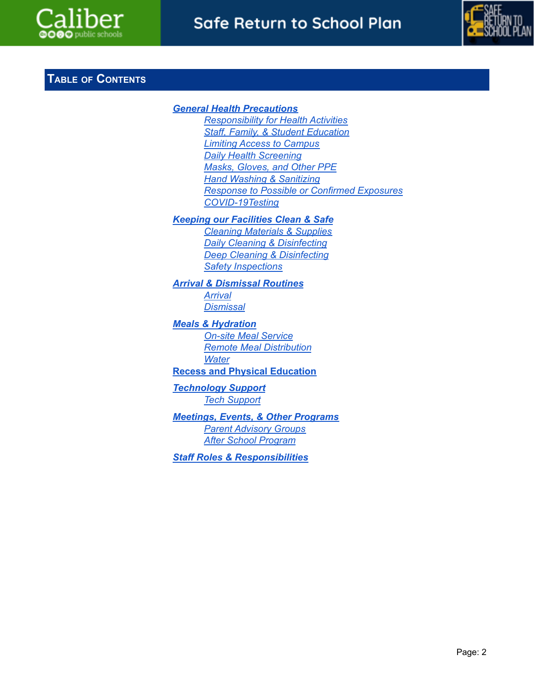



# **TABLE OF CONTENTS**

# *General Health [Precautions](#page-2-0) [Responsibility](#page-2-1) for Health Activities Staff, Family, & Student [Education](#page-3-0) Limiting Access to [Campus](#page-4-0) Daily Health [Screening](#page-5-0) Masks, [Gloves,](#page-6-0) and Other PPE Hand Washing & [Sanitizing](#page-8-0) Response to Possible or Confirmed [Exposures](#page-9-0) [COVID-19Testing](#page-14-0) Keeping our [Facilities](#page-14-1) Clean & Safe Cleaning [Materials](#page-14-2) & Supplies Daily [Cleaning](#page-15-0) & Disinfecting Deep [Cleaning](#page-15-1) & Disinfecting Safety [Inspections](#page-16-0) Arrival & [Dismissal](#page-16-1) Routines [Arrival](#page-16-2) [Dismissal](#page-16-3) Meals & [Hydration](#page-17-0) On-site Meal [Service](#page-17-1) Remote Meal [Distribution](#page-18-0) [Water](#page-18-1)* **Recess and Physical [Education](#page-18-2)** *[Technology](#page-18-3) Support Tech [Support](#page-18-4)*

*Meetings, Events, & Other [Programs](#page-19-0) Parent [Advisory](#page-19-1) Groups After School [Program](#page-19-2)*

*Staff Roles & [Responsibilitie](#page-19-3)s*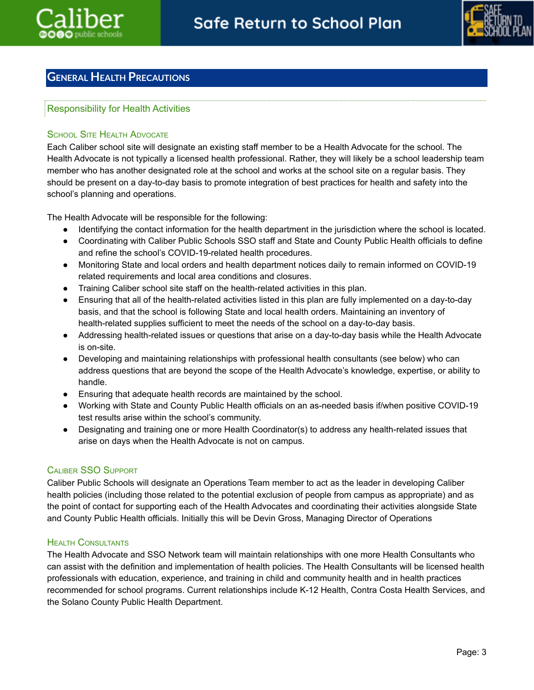

# <span id="page-2-1"></span><span id="page-2-0"></span>**GENERAL HEALTH PRECAUTIONS**

# Responsibility for Health Activities

## **SCHOOL SITE HEALTH ADVOCATE**

Each Caliber school site will designate an existing staff member to be a Health Advocate for the school. The Health Advocate is not typically a licensed health professional. Rather, they will likely be a school leadership team member who has another designated role at the school and works at the school site on a regular basis. They should be present on a day-to-day basis to promote integration of best practices for health and safety into the school's planning and operations.

The Health Advocate will be responsible for the following:

- Identifying the contact information for the health department in the jurisdiction where the school is located.
- Coordinating with Caliber Public Schools SSO staff and State and County Public Health officials to define and refine the school's COVID-19-related health procedures.
- Monitoring State and local orders and health department notices daily to remain informed on COVID-19 related requirements and local area conditions and closures.
- Training Caliber school site staff on the health-related activities in this plan.
- Ensuring that all of the health-related activities listed in this plan are fully implemented on a day-to-day basis, and that the school is following State and local health orders. Maintaining an inventory of health-related supplies sufficient to meet the needs of the school on a day-to-day basis.
- Addressing health-related issues or questions that arise on a day-to-day basis while the Health Advocate is on-site.
- Developing and maintaining relationships with professional health consultants (see below) who can address questions that are beyond the scope of the Health Advocate's knowledge, expertise, or ability to handle.
- Ensuring that adequate health records are maintained by the school.
- Working with State and County Public Health officials on an as-needed basis if/when positive COVID-19 test results arise within the school's community.
- Designating and training one or more Health Coordinator(s) to address any health-related issues that arise on days when the Health Advocate is not on campus.

# CALIBER SSO SUPPORT

Caliber Public Schools will designate an Operations Team member to act as the leader in developing Caliber health policies (including those related to the potential exclusion of people from campus as appropriate) and as the point of contact for supporting each of the Health Advocates and coordinating their activities alongside State and County Public Health officials. Initially this will be Devin Gross, Managing Director of Operations

## HEALTH CONSULTANTS

The Health Advocate and SSO Network team will maintain relationships with one more Health Consultants who can assist with the definition and implementation of health policies. The Health Consultants will be licensed health professionals with education, experience, and training in child and community health and in health practices recommended for school programs. Current relationships include K-12 Health, Contra Costa Health Services, and the Solano County Public Health Department.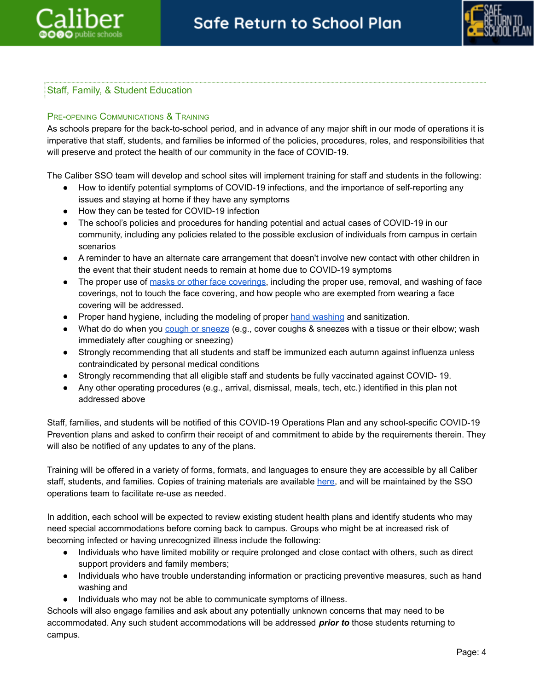



# <span id="page-3-0"></span>Staff, Family, & Student Education

## PRE-OPENING COMMUNICATIONS & TRAINING

As schools prepare for the back-to-school period, and in advance of any major shift in our mode of operations it is imperative that staff, students, and families be informed of the policies, procedures, roles, and responsibilities that will preserve and protect the health of our community in the face of COVID-19.

The Caliber SSO team will develop and school sites will implement training for staff and students in the following:

- How to identify potential symptoms of COVID-19 infections, and the importance of self-reporting any issues and staying at home if they have any symptoms
- How they can be tested for COVID-19 infection
- The school's policies and procedures for handing potential and actual cases of COVID-19 in our community, including any policies related to the possible exclusion of individuals from campus in certain scenarios
- A reminder to have an alternate care arrangement that doesn't involve new contact with other children in the event that their student needs to remain at home due to COVID-19 symptoms
- The proper use of masks or other face [coverings](https://www.cdc.gov/coronavirus/2019-ncov/prevent-getting-sick/diy-cloth-face-coverings.html), including the proper use, removal, and washing of face coverings, not to touch the face covering, and how people who are exempted from wearing a face covering will be addressed.
- Proper hand hygiene, including the modeling of proper hand [washing](https://www.cdc.gov/handwashing/index.html) and sanitization.
- What do do when you cough or [sneeze](https://www.cdc.gov/healthywater/hygiene/etiquette/coughing_sneezing.html) (e.g., cover coughs & sneezes with a tissue or their elbow; wash immediately after coughing or sneezing)
- Strongly recommending that all students and staff be immunized each autumn against influenza unless contraindicated by personal medical conditions
- Strongly recommending that all eligible staff and students be fully vaccinated against COVID- 19.
- Any other operating procedures (e.g., arrival, dismissal, meals, tech, etc.) identified in this plan not addressed above

Staff, families, and students will be notified of this COVID-19 Operations Plan and any school-specific COVID-19 Prevention plans and asked to confirm their receipt of and commitment to abide by the requirements therein. They will also be notified of any updates to any of the plans.

Training will be offered in a variety of forms, formats, and languages to ensure they are accessible by all Caliber staff, students, and families. Copies of training materials are available [here,](https://caliberschools.box.com/v/COVID-Prevention-Plans) and will be maintained by the SSO operations team to facilitate re-use as needed.

In addition, each school will be expected to review existing student health plans and identify students who may need special accommodations before coming back to campus. Groups who might be at increased risk of becoming infected or having unrecognized illness include the following:

- Individuals who have limited mobility or require prolonged and close contact with others, such as direct support providers and family members;
- Individuals who have trouble understanding information or practicing preventive measures, such as hand washing and
- Individuals who may not be able to communicate symptoms of illness.

Schools will also engage families and ask about any potentially unknown concerns that may need to be accommodated. Any such student accommodations will be addressed *prior to* those students returning to campus.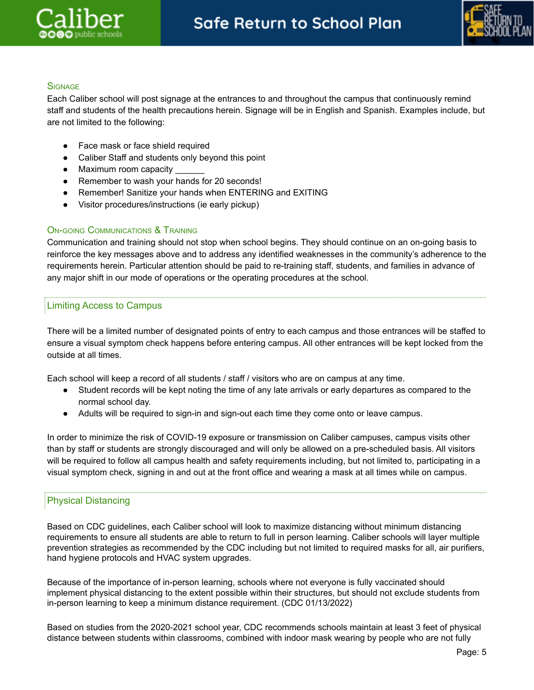

## **SIGNAGE**

Each Caliber school will post signage at the entrances to and throughout the campus that continuously remind staff and students of the health precautions herein. Signage will be in English and Spanish. Examples include, but are not limited to the following:

- Face mask or face shield required
- Caliber Staff and students only beyond this point
- Maximum room capacity
- Remember to wash your hands for 20 seconds!
- Remember! Sanitize your hands when ENTERING and EXITING
- Visitor procedures/instructions (ie early pickup)

#### ON-GOING COMMUNICATIONS & TRAINING

Communication and training should not stop when school begins. They should continue on an on-going basis to reinforce the key messages above and to address any identified weaknesses in the community's adherence to the requirements herein. Particular attention should be paid to re-training staff, students, and families in advance of any major shift in our mode of operations or the operating procedures at the school.

#### <span id="page-4-0"></span>Limiting Access to Campus

There will be a limited number of designated points of entry to each campus and those entrances will be staffed to ensure a visual symptom check happens before entering campus. All other entrances will be kept locked from the outside at all times.

Each school will keep a record of all students / staff / visitors who are on campus at any time.

- Student records will be kept noting the time of any late arrivals or early departures as compared to the normal school day.
- Adults will be required to sign-in and sign-out each time they come onto or leave campus.

In order to minimize the risk of COVID-19 exposure or transmission on Caliber campuses, campus visits other than by staff or students are strongly discouraged and will only be allowed on a pre-scheduled basis. All visitors will be required to follow all campus health and safety requirements including, but not limited to, participating in a visual symptom check, signing in and out at the front office and wearing a mask at all times while on campus.

#### Physical Distancing

Based on CDC guidelines, each Caliber school will look to maximize distancing without minimum distancing requirements to ensure all students are able to return to full in person learning. Caliber schools will layer multiple prevention strategies as recommended by the CDC including but not limited to required masks for all, air purifiers, hand hygiene protocols and HVAC system upgrades.

Because of the importance of in-person learning, schools where not everyone is fully vaccinated should implement physical distancing to the extent possible within their structures, but should not exclude students from in-person learning to keep a minimum distance requirement. (CDC 01/13/2022)

Based on studies from the 2020-2021 school year, CDC recommends schools maintain at least 3 feet of physical distance between students within classrooms, combined with indoor mask wearing by people who are not fully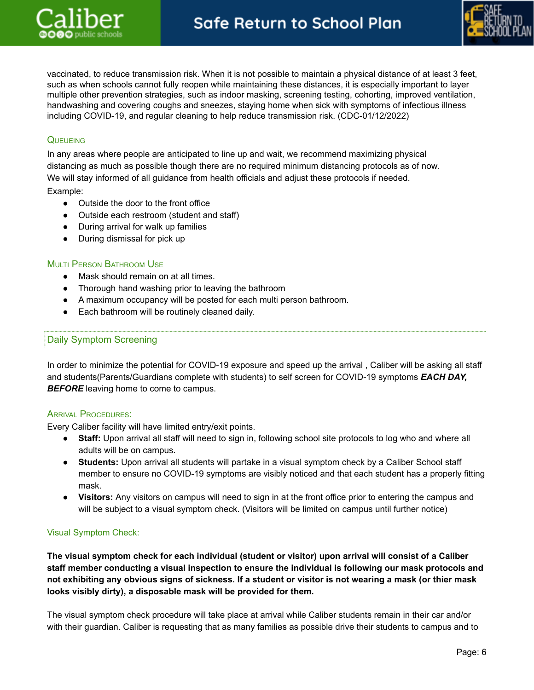

vaccinated, to reduce transmission risk. When it is not possible to maintain a physical distance of at least 3 feet, such as when schools cannot fully reopen while maintaining these distances, it is especially important to layer multiple other prevention strategies, such as indoor masking, screening testing, cohorting, improved ventilation, handwashing and covering coughs and sneezes, staying home when sick with symptoms of infectious illness including COVID-19, and regular cleaning to help reduce transmission risk. (CDC-01/12/2022)

# **QUEUEING**

In any areas where people are anticipated to line up and wait, we recommend maximizing physical distancing as much as possible though there are no required minimum distancing protocols as of now. We will stay informed of all guidance from health officials and adjust these protocols if needed.

Example:

- Outside the door to the front office
- Outside each restroom (student and staff)
- During arrival for walk up families
- During dismissal for pick up

#### **MULTI PERSON BATHROOM USE**

- Mask should remain on at all times.
- Thorough hand washing prior to leaving the bathroom
- A maximum occupancy will be posted for each multi person bathroom.
- Each bathroom will be routinely cleaned daily.

#### <span id="page-5-0"></span>Daily Symptom Screening

In order to minimize the potential for COVID-19 exposure and speed up the arrival , Caliber will be asking all staff and students(Parents/Guardians complete with students) to self screen for COVID-19 symptoms *EACH DAY,* **BEFORE** leaving home to come to campus.

#### ARRIVAL PROCEDURES:

Every Caliber facility will have limited entry/exit points.

- **Staff:** Upon arrival all staff will need to sign in, following school site protocols to log who and where all adults will be on campus.
- **Students:** Upon arrival all students will partake in a visual symptom check by a Caliber School staff member to ensure no COVID-19 symptoms are visibly noticed and that each student has a properly fitting mask.
- **Visitors:** Any visitors on campus will need to sign in at the front office prior to entering the campus and will be subject to a visual symptom check. (Visitors will be limited on campus until further notice)

#### Visual Symptom Check:

**The visual symptom check for each individual (student or visitor) upon arrival will consist of a Caliber staff member conducting a visual inspection to ensure the individual is following our mask protocols and** not exhibiting any obvious signs of sickness. If a student or visitor is not wearing a mask (or thier mask **looks visibly dirty), a disposable mask will be provided for them.**

The visual symptom check procedure will take place at arrival while Caliber students remain in their car and/or with their guardian. Caliber is requesting that as many families as possible drive their students to campus and to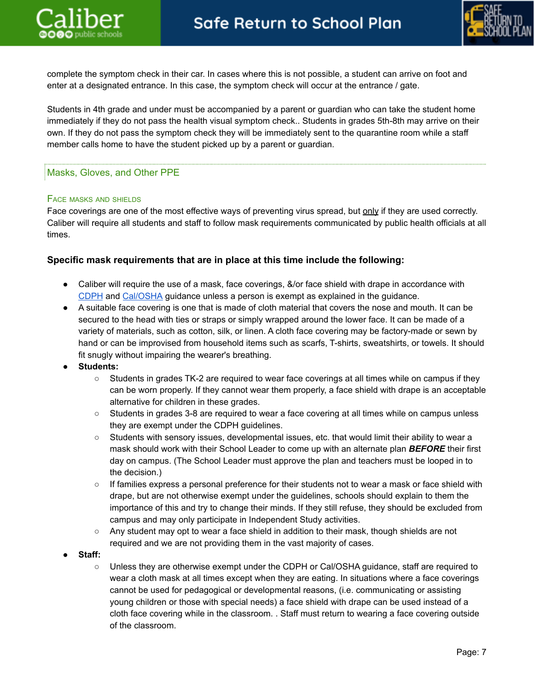

complete the symptom check in their car. In cases where this is not possible, a student can arrive on foot and enter at a designated entrance. In this case, the symptom check will occur at the entrance / gate.

Students in 4th grade and under must be accompanied by a parent or guardian who can take the student home immediately if they do not pass the health visual symptom check.. Students in grades 5th-8th may arrive on their own. If they do not pass the symptom check they will be immediately sent to the quarantine room while a staff member calls home to have the student picked up by a parent or guardian.

# <span id="page-6-0"></span>Masks, Gloves, and Other PPE

## FACE MASKS AND SHIELDS

Face coverings are one of the most effective ways of preventing virus spread, but only if they are used correctly. Caliber will require all students and staff to follow mask requirements communicated by public health officials at all times.

## **Specific mask requirements that are in place at this time include the following:**

- Caliber will require the use of a mask, face coverings, &/or face shield with drape in accordance with [CDPH](https://www.cdph.ca.gov/Programs/CID/DCDC/Pages/COVID-19/K-12-Guidance-2021-22-School-Year.aspx) and [Cal/OSHA](https://www.dir.ca.gov/dosh/coronavirus/Health-Care-General-Industry.html) guidance unless a person is exempt as explained in the guidance.
- A suitable face covering is one that is made of cloth material that covers the nose and mouth. It can be secured to the head with ties or straps or simply wrapped around the lower face. It can be made of a variety of materials, such as cotton, silk, or linen. A cloth face covering may be factory-made or sewn by hand or can be improvised from household items such as scarfs, T-shirts, sweatshirts, or towels. It should fit snugly without impairing the wearer's breathing.
- **● Students:**
	- Students in grades TK-2 are required to wear face coverings at all times while on campus if they can be worn properly. If they cannot wear them properly, a face shield with drape is an acceptable alternative for children in these grades.
	- Students in grades 3-8 are required to wear a face covering at all times while on campus unless they are exempt under the CDPH guidelines.
	- Students with sensory issues, developmental issues, etc. that would limit their ability to wear a mask should work with their School Leader to come up with an alternate plan *BEFORE* their first day on campus. (The School Leader must approve the plan and teachers must be looped in to the decision.)
	- If families express a personal preference for their students not to wear a mask or face shield with drape, but are not otherwise exempt under the guidelines, schools should explain to them the importance of this and try to change their minds. If they still refuse, they should be excluded from campus and may only participate in Independent Study activities.
	- Any student may opt to wear a face shield in addition to their mask, though shields are not required and we are not providing them in the vast majority of cases.
- **● Staff:**
	- Unless they are otherwise exempt under the CDPH or Cal/OSHA guidance, staff are required to wear a cloth mask at all times except when they are eating. In situations where a face coverings cannot be used for pedagogical or developmental reasons, (i.e. communicating or assisting young children or those with special needs) a face shield with drape can be used instead of a cloth face covering while in the classroom. . Staff must return to wearing a face covering outside of the classroom.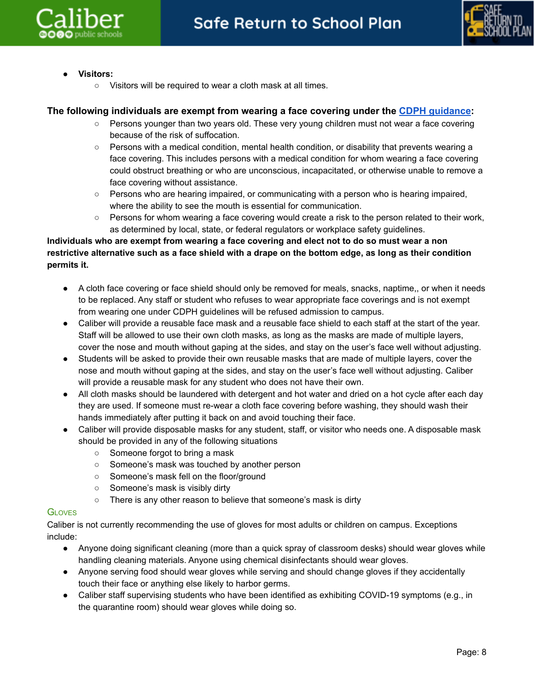



- **● Visitors:**
	- Visitors will be required to wear a cloth mask at all times.

## **The following individuals are exempt from wearing a face covering under the CDPH [guidance](https://www.cdph.ca.gov/Programs/CID/DCDC/Pages/COVID-19/guidance-for-face-coverings.aspx):**

- Persons younger than two years old. These very young children must not wear a face covering because of the risk of suffocation.
- Persons with a medical condition, mental health condition, or disability that prevents wearing a face covering. This includes persons with a medical condition for whom wearing a face covering could obstruct breathing or who are unconscious, incapacitated, or otherwise unable to remove a face covering without assistance.
- Persons who are hearing impaired, or communicating with a person who is hearing impaired, where the ability to see the mouth is essential for communication.
- Persons for whom wearing a face covering would create a risk to the person related to their work, as determined by local, state, or federal regulators or workplace safety guidelines.

# Individuals who are exempt from wearing a face covering and elect not to do so must wear a non restrictive alternative such as a face shield with a drape on the bottom edge, as long as their condition **permits it.**

- A cloth face covering or face shield should only be removed for meals, snacks, naptime,, or when it needs to be replaced. Any staff or student who refuses to wear appropriate face coverings and is not exempt from wearing one under CDPH guidelines will be refused admission to campus.
- Caliber will provide a reusable face mask and a reusable face shield to each staff at the start of the year. Staff will be allowed to use their own cloth masks, as long as the masks are made of multiple layers, cover the nose and mouth without gaping at the sides, and stay on the user's face well without adjusting.
- Students will be asked to provide their own reusable masks that are made of multiple layers, cover the nose and mouth without gaping at the sides, and stay on the user's face well without adjusting. Caliber will provide a reusable mask for any student who does not have their own.
- All cloth masks should be laundered with detergent and hot water and dried on a hot cycle after each day they are used. If someone must re-wear a cloth face covering before washing, they should wash their hands immediately after putting it back on and avoid touching their face.
- Caliber will provide disposable masks for any student, staff, or visitor who needs one. A disposable mask should be provided in any of the following situations
	- **○** Someone forgot to bring a mask
	- Someone's mask was touched by another person
	- Someone's mask fell on the floor/ground
	- Someone's mask is visibly dirty
	- There is any other reason to believe that someone's mask is dirty

## **GLOVES**

Caliber is not currently recommending the use of gloves for most adults or children on campus. Exceptions include:

- Anyone doing significant cleaning (more than a quick spray of classroom desks) should wear gloves while handling cleaning materials. Anyone using chemical disinfectants should wear gloves.
- Anyone serving food should wear gloves while serving and should change gloves if they accidentally touch their face or anything else likely to harbor germs.
- Caliber staff supervising students who have been identified as exhibiting COVID-19 symptoms (e.g., in the quarantine room) should wear gloves while doing so.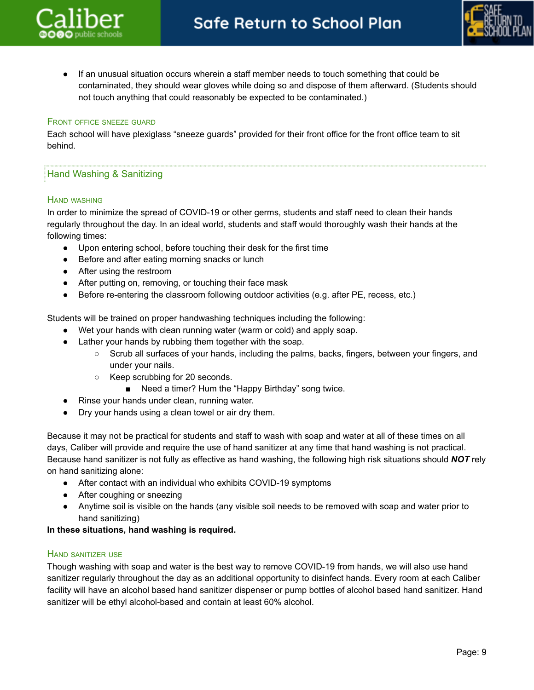

If an unusual situation occurs wherein a staff member needs to touch something that could be contaminated, they should wear gloves while doing so and dispose of them afterward. (Students should not touch anything that could reasonably be expected to be contaminated.)

#### FRONT OFFICE SNEEZE GUARD

Each school will have plexiglass "sneeze guards" provided for their front office for the front office team to sit behind.

## <span id="page-8-0"></span>Hand Washing & Sanitizing

#### HAND WASHING

In order to minimize the spread of COVID-19 or other germs, students and staff need to clean their hands regularly throughout the day. In an ideal world, students and staff would thoroughly wash their hands at the following times:

- Upon entering school, before touching their desk for the first time
- Before and after eating morning snacks or lunch
- After using the restroom
- After putting on, removing, or touching their face mask
- Before re-entering the classroom following outdoor activities (e.g. after PE, recess, etc.)

Students will be trained on proper handwashing techniques including the following:

- Wet your hands with clean running water (warm or cold) and apply soap.
- Lather your hands by rubbing them together with the soap.
	- Scrub all surfaces of your hands, including the palms, backs, fingers, between your fingers, and under your nails.
	- Keep scrubbing for 20 seconds.
		- Need a timer? Hum the "Happy Birthday" song twice.
- Rinse your hands under clean, running water.
- Dry your hands using a clean towel or air dry them.

Because it may not be practical for students and staff to wash with soap and water at all of these times on all days, Caliber will provide and require the use of hand sanitizer at any time that hand washing is not practical. Because hand sanitizer is not fully as effective as hand washing, the following high risk situations should *NOT* rely on hand sanitizing alone:

- After contact with an individual who exhibits COVID-19 symptoms
- After coughing or sneezing
- Anytime soil is visible on the hands (any visible soil needs to be removed with soap and water prior to hand sanitizing)

## **In these situations, hand washing is required.**

#### HAND SANITIZER USE

Though washing with soap and water is the best way to remove COVID-19 from hands, we will also use hand sanitizer regularly throughout the day as an additional opportunity to disinfect hands. Every room at each Caliber facility will have an alcohol based hand sanitizer dispenser or pump bottles of alcohol based hand sanitizer. Hand sanitizer will be ethyl alcohol-based and contain at least 60% alcohol.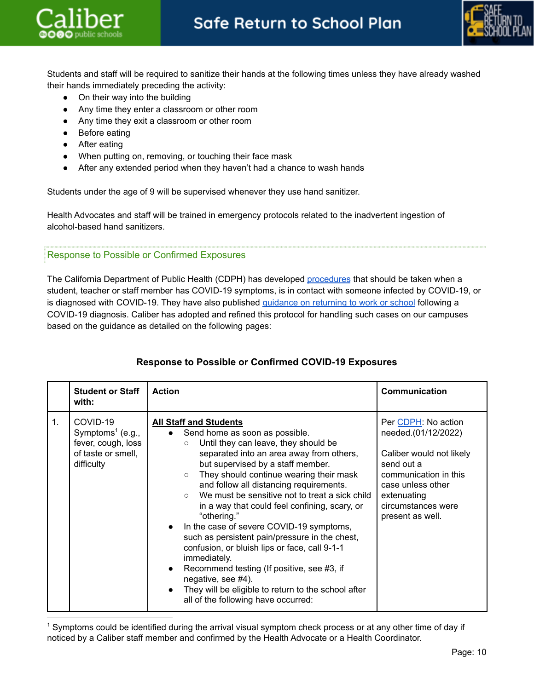



Students and staff will be required to sanitize their hands at the following times unless they have already washed their hands immediately preceding the activity:

- On their way into the building
- Any time they enter a classroom or other room
- Any time they exit a classroom or other room
- Before eating
- After eating
- When putting on, removing, or touching their face mask
- After any extended period when they haven't had a chance to wash hands

Students under the age of 9 will be supervised whenever they use hand sanitizer.

Health Advocates and staff will be trained in emergency protocols related to the inadvertent ingestion of alcohol-based hand sanitizers.

# <span id="page-9-0"></span>Response to Possible or Confirmed Exposures

The California Department of Public Health (CDPH) has developed [procedures](https://www.cdph.ca.gov/Programs/CID/DCDC/Pages/COVID-19/K-12-Guidance-2021-22-School-Year.aspx) that should be taken when a student, teacher or staff member has COVID-19 symptoms, is in contact with someone infected by COVID-19, or is diagnosed with COVID-19. They have also published [guidance](https://www.cdph.ca.gov/Programs/CID/DCDC/Pages/COVID-19/Guidance-on-Returning-to-Work-or-School-Following-COVID-19-Diagnosis.aspx) on returning to work or school following a COVID-19 diagnosis. Caliber has adopted and refined this protocol for handling such cases on our campuses based on the guidance as detailed on the following pages:

|                | <b>Student or Staff</b><br>with:                                                                                | <b>Action</b>                                                                                                                                                                                                                                                                                                                                                                                                                                                                                                                                                                                                                                                                                                                                                      | <b>Communication</b>                                                                                                                                                                        |
|----------------|-----------------------------------------------------------------------------------------------------------------|--------------------------------------------------------------------------------------------------------------------------------------------------------------------------------------------------------------------------------------------------------------------------------------------------------------------------------------------------------------------------------------------------------------------------------------------------------------------------------------------------------------------------------------------------------------------------------------------------------------------------------------------------------------------------------------------------------------------------------------------------------------------|---------------------------------------------------------------------------------------------------------------------------------------------------------------------------------------------|
| $\mathbf{1}$ . | COVID-19<br>Symptoms <sup><math>1</math></sup> (e.g.,<br>fever, cough, loss<br>of taste or smell,<br>difficulty | <b>All Staff and Students</b><br>Send home as soon as possible.<br>Until they can leave, they should be<br>$\circ$<br>separated into an area away from others,<br>but supervised by a staff member.<br>They should continue wearing their mask<br>$\circ$<br>and follow all distancing requirements.<br>We must be sensitive not to treat a sick child<br>$\circ$<br>in a way that could feel confining, scary, or<br>"othering."<br>In the case of severe COVID-19 symptoms,<br>such as persistent pain/pressure in the chest,<br>confusion, or bluish lips or face, call 9-1-1<br>immediately.<br>Recommend testing (If positive, see #3, if<br>negative, see #4).<br>They will be eligible to return to the school after<br>all of the following have occurred: | Per CDPH: No action<br>needed.(01/12/2022)<br>Caliber would not likely<br>send out a<br>communication in this<br>case unless other<br>extenuating<br>circumstances were<br>present as well. |

# **Response to Possible or Confirmed COVID-19 Exposures**

<sup>1</sup> Symptoms could be identified during the arrival visual symptom check process or at any other time of day if noticed by a Caliber staff member and confirmed by the Health Advocate or a Health Coordinator.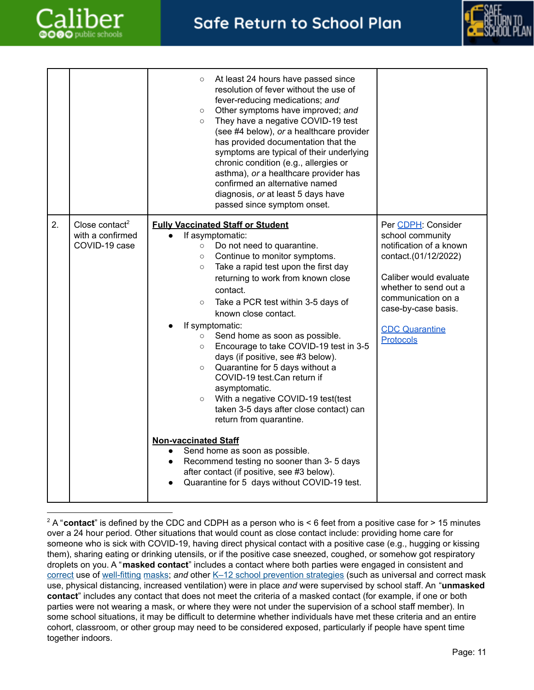



|    |                                                                 | At least 24 hours have passed since<br>$\circ$<br>resolution of fever without the use of<br>fever-reducing medications; and<br>Other symptoms have improved; and<br>$\circ$<br>They have a negative COVID-19 test<br>$\circ$<br>(see #4 below), or a healthcare provider<br>has provided documentation that the<br>symptoms are typical of their underlying<br>chronic condition (e.g., allergies or<br>asthma), or a healthcare provider has<br>confirmed an alternative named<br>diagnosis, or at least 5 days have<br>passed since symptom onset.                                                                                                                                                                                                                                                                                                                                                                                     |                                                                                                                                                                                                                                 |
|----|-----------------------------------------------------------------|------------------------------------------------------------------------------------------------------------------------------------------------------------------------------------------------------------------------------------------------------------------------------------------------------------------------------------------------------------------------------------------------------------------------------------------------------------------------------------------------------------------------------------------------------------------------------------------------------------------------------------------------------------------------------------------------------------------------------------------------------------------------------------------------------------------------------------------------------------------------------------------------------------------------------------------|---------------------------------------------------------------------------------------------------------------------------------------------------------------------------------------------------------------------------------|
| 2. | Close contact <sup>2</sup><br>with a confirmed<br>COVID-19 case | <b>Fully Vaccinated Staff or Student</b><br>If asymptomatic:<br>Do not need to quarantine.<br>$\circ$<br>Continue to monitor symptoms.<br>$\circ$<br>Take a rapid test upon the first day<br>$\circ$<br>returning to work from known close<br>contact.<br>Take a PCR test within 3-5 days of<br>$\circ$<br>known close contact.<br>If symptomatic:<br>Send home as soon as possible.<br>$\circ$<br>Encourage to take COVID-19 test in 3-5<br>$\circ$<br>days (if positive, see #3 below).<br>Quarantine for 5 days without a<br>$\circ$<br>COVID-19 test.Can return if<br>asymptomatic.<br>With a negative COVID-19 test(test<br>$\circ$<br>taken 3-5 days after close contact) can<br>return from quarantine.<br><b>Non-vaccinated Staff</b><br>Send home as soon as possible.<br>$\bullet$<br>Recommend testing no sooner than 3- 5 days<br>after contact (if positive, see #3 below).<br>Quarantine for 5 days without COVID-19 test. | Per CDPH: Consider<br>school community<br>notification of a known<br>contact.(01/12/2022)<br>Caliber would evaluate<br>whether to send out a<br>communication on a<br>case-by-case basis.<br><b>CDC Quarantine</b><br>Protocols |

<sup>&</sup>lt;sup>2</sup> A "**contact**" is defined by the CDC and CDPH as a person who is < 6 feet from a positive case for > 15 minutes over a 24 hour period. Other situations that would count as close contact include: providing home care for someone who is sick with COVID-19, having direct physical contact with a positive case (e.g., hugging or kissing them), sharing eating or drinking utensils, or if the positive case sneezed, coughed, or somehow got respiratory droplets on you. A "**masked contact**" includes a contact where both parties were engaged in consistent and [correct](https://www.cdc.gov/coronavirus/2019-ncov/your-health/effective-masks.html) use of [well-fitting](https://www.cdc.gov/coronavirus/2019-ncov/prevent-getting-sick/mask-fit-and-filtration.html) [masks](https://www.cdc.gov/coronavirus/2019-ncov/community/schools-childcare/cloth-face-cover.html); and other K-12 school [prevention](https://www.cdc.gov/coronavirus/2019-ncov/community/schools-childcare/k-12-guidance.html) strategies (such as universal and correct mask use, physical distancing, increased ventilation) were in place *and* were supervised by school staff. An "**unmasked contact**" includes any contact that does not meet the criteria of a masked contact (for example, if one or both parties were not wearing a mask, or where they were not under the supervision of a school staff member). In some school situations, it may be difficult to determine whether individuals have met these criteria and an entire cohort, classroom, or other group may need to be considered exposed, particularly if people have spent time together indoors.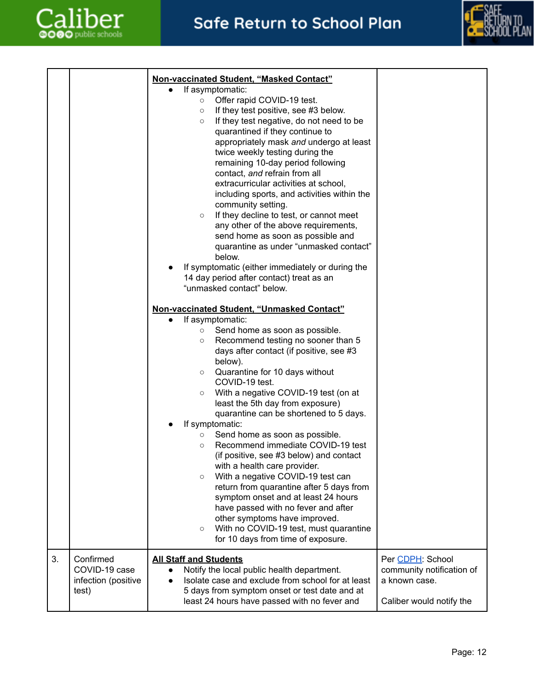



|    |                                                            | Non-vaccinated Student, "Masked Contact"<br>If asymptomatic:<br>Offer rapid COVID-19 test.<br>$\circ$<br>If they test positive, see #3 below.<br>$\circ$<br>If they test negative, do not need to be<br>$\circ$<br>quarantined if they continue to<br>appropriately mask and undergo at least<br>twice weekly testing during the<br>remaining 10-day period following<br>contact, and refrain from all<br>extracurricular activities at school,<br>including sports, and activities within the<br>community setting.<br>If they decline to test, or cannot meet<br>$\circ$<br>any other of the above requirements,<br>send home as soon as possible and<br>quarantine as under "unmasked contact"<br>below.<br>If symptomatic (either immediately or during the<br>14 day period after contact) treat as an<br>"unmasked contact" below.<br>Non-vaccinated Student, "Unmasked Contact"<br>If asymptomatic:<br>Send home as soon as possible.<br>$\circ$<br>Recommend testing no sooner than 5<br>$\circ$<br>days after contact (if positive, see #3<br>below).<br>Quarantine for 10 days without<br>$\circ$<br>COVID-19 test.<br>With a negative COVID-19 test (on at<br>$\circ$<br>least the 5th day from exposure)<br>quarantine can be shortened to 5 days.<br>If symptomatic:<br>Send home as soon as possible.<br>$\circ$<br>Recommend immediate COVID-19 test<br>$\circ$<br>(if positive, see #3 below) and contact<br>with a health care provider.<br>With a negative COVID-19 test can<br>$\circ$<br>return from quarantine after 5 days from<br>symptom onset and at least 24 hours<br>have passed with no fever and after<br>other symptoms have improved.<br>With no COVID-19 test, must quarantine<br>$\circ$<br>for 10 days from time of exposure. |                                                                                            |
|----|------------------------------------------------------------|-----------------------------------------------------------------------------------------------------------------------------------------------------------------------------------------------------------------------------------------------------------------------------------------------------------------------------------------------------------------------------------------------------------------------------------------------------------------------------------------------------------------------------------------------------------------------------------------------------------------------------------------------------------------------------------------------------------------------------------------------------------------------------------------------------------------------------------------------------------------------------------------------------------------------------------------------------------------------------------------------------------------------------------------------------------------------------------------------------------------------------------------------------------------------------------------------------------------------------------------------------------------------------------------------------------------------------------------------------------------------------------------------------------------------------------------------------------------------------------------------------------------------------------------------------------------------------------------------------------------------------------------------------------------------------------------------------------------------------------------------------------------|--------------------------------------------------------------------------------------------|
| 3. | Confirmed<br>COVID-19 case<br>infection (positive<br>test) | <b>All Staff and Students</b><br>Notify the local public health department.<br>Isolate case and exclude from school for at least<br>5 days from symptom onset or test date and at<br>least 24 hours have passed with no fever and                                                                                                                                                                                                                                                                                                                                                                                                                                                                                                                                                                                                                                                                                                                                                                                                                                                                                                                                                                                                                                                                                                                                                                                                                                                                                                                                                                                                                                                                                                                               | Per CDPH: School<br>community notification of<br>a known case.<br>Caliber would notify the |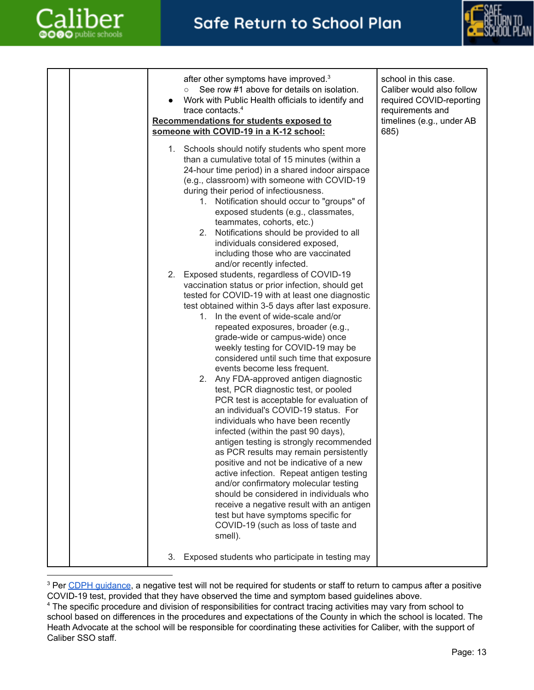



|  | after other symptoms have improved. <sup>3</sup><br>See row #1 above for details on isolation.<br>$\circ$<br>Work with Public Health officials to identify and<br>trace contacts. <sup>4</sup><br>Recommendations for students exposed to<br>someone with COVID-19 in a K-12 school:<br>1. Schools should notify students who spent more                                                                                                                                                                                                                                                                                                                                                                                                                                                                                                                                                                                                                                                                                                                                                                  | school in this case.<br>Caliber would also follow<br>required COVID-reporting<br>requirements and<br>timelines (e.g., under AB<br>685) |
|--|-----------------------------------------------------------------------------------------------------------------------------------------------------------------------------------------------------------------------------------------------------------------------------------------------------------------------------------------------------------------------------------------------------------------------------------------------------------------------------------------------------------------------------------------------------------------------------------------------------------------------------------------------------------------------------------------------------------------------------------------------------------------------------------------------------------------------------------------------------------------------------------------------------------------------------------------------------------------------------------------------------------------------------------------------------------------------------------------------------------|----------------------------------------------------------------------------------------------------------------------------------------|
|  | than a cumulative total of 15 minutes (within a<br>24-hour time period) in a shared indoor airspace<br>(e.g., classroom) with someone with COVID-19<br>during their period of infectiousness.<br>1. Notification should occur to "groups" of<br>exposed students (e.g., classmates,<br>teammates, cohorts, etc.)<br>Notifications should be provided to all<br>2.<br>individuals considered exposed,<br>including those who are vaccinated<br>and/or recently infected.                                                                                                                                                                                                                                                                                                                                                                                                                                                                                                                                                                                                                                   |                                                                                                                                        |
|  | Exposed students, regardless of COVID-19<br>2.<br>vaccination status or prior infection, should get<br>tested for COVID-19 with at least one diagnostic<br>test obtained within 3-5 days after last exposure.<br>1. In the event of wide-scale and/or<br>repeated exposures, broader (e.g.,<br>grade-wide or campus-wide) once<br>weekly testing for COVID-19 may be<br>considered until such time that exposure<br>events become less frequent.<br>2. Any FDA-approved antigen diagnostic<br>test, PCR diagnostic test, or pooled<br>PCR test is acceptable for evaluation of<br>an individual's COVID-19 status. For<br>individuals who have been recently<br>infected (within the past 90 days),<br>antigen testing is strongly recommended<br>as PCR results may remain persistently<br>positive and not be indicative of a new<br>active infection. Repeat antigen testing<br>and/or confirmatory molecular testing<br>should be considered in individuals who<br>receive a negative result with an antigen<br>test but have symptoms specific for<br>COVID-19 (such as loss of taste and<br>smell). |                                                                                                                                        |
|  | Exposed students who participate in testing may<br>3.                                                                                                                                                                                                                                                                                                                                                                                                                                                                                                                                                                                                                                                                                                                                                                                                                                                                                                                                                                                                                                                     |                                                                                                                                        |

<sup>&</sup>lt;sup>3</sup> Per CDPH [guidance](https://www.cdph.ca.gov/Programs/CID/DCDC/Pages/COVID-19/Guidance-on-Returning-to-Work-or-School-Following-COVID-19-Diagnosis.aspx), a negative test will not be required for students or staff to return to campus after a positive COVID-19 test, provided that they have observed the time and symptom based guidelines above.

<sup>&</sup>lt;sup>4</sup> The specific procedure and division of responsibilities for contract tracing activities may vary from school to school based on differences in the procedures and expectations of the County in which the school is located. The Heath Advocate at the school will be responsible for coordinating these activities for Caliber, with the support of Caliber SSO staff.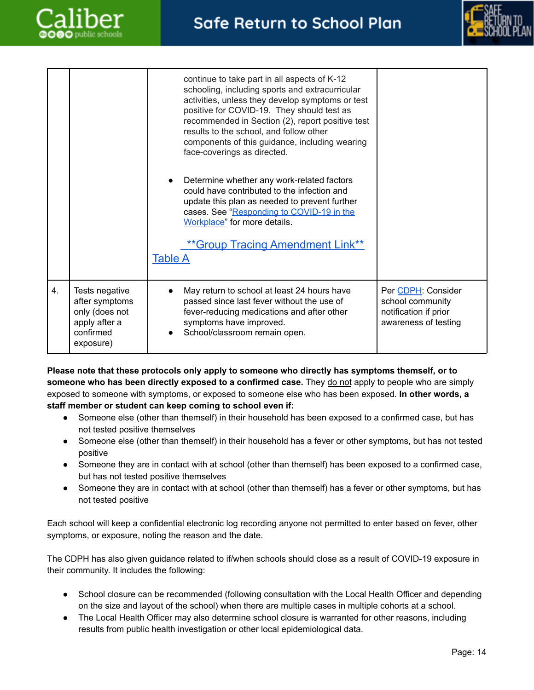



|    |                                                                                               | continue to take part in all aspects of K-12<br>schooling, including sports and extracurricular<br>activities, unless they develop symptoms or test<br>positive for COVID-19. They should test as<br>recommended in Section (2), report positive test<br>results to the school, and follow other<br>components of this guidance, including wearing<br>face-coverings as directed.<br>Determine whether any work-related factors<br>could have contributed to the infection and<br>update this plan as needed to prevent further<br>cases. See "Responding to COVID-19 in the<br>Workplace" for more details.<br>** Group Tracing Amendment Link**<br><b>Table A</b> |                                                                                         |
|----|-----------------------------------------------------------------------------------------------|---------------------------------------------------------------------------------------------------------------------------------------------------------------------------------------------------------------------------------------------------------------------------------------------------------------------------------------------------------------------------------------------------------------------------------------------------------------------------------------------------------------------------------------------------------------------------------------------------------------------------------------------------------------------|-----------------------------------------------------------------------------------------|
| 4. | Tests negative<br>after symptoms<br>only (does not<br>apply after a<br>confirmed<br>exposure) | May return to school at least 24 hours have<br>passed since last fever without the use of<br>fever-reducing medications and after other<br>symptoms have improved.<br>School/classroom remain open.                                                                                                                                                                                                                                                                                                                                                                                                                                                                 | Per CDPH: Consider<br>school community<br>notification if prior<br>awareness of testing |

**Please note that these protocols only apply to someone who directly has symptoms themself, or to someone who has been directly exposed to a confirmed case.** They do not apply to people who are simply exposed to someone with symptoms, or exposed to someone else who has been exposed. **In other words, a staff member or student can keep coming to school even if:**

- Someone else (other than themself) in their household has been exposed to a confirmed case, but has not tested positive themselves
- Someone else (other than themself) in their household has a fever or other symptoms, but has not tested positive
- Someone they are in contact with at school (other than themself) has been exposed to a confirmed case, but has not tested positive themselves
- Someone they are in contact with at school (other than themself) has a fever or other symptoms, but has not tested positive

Each school will keep a confidential electronic log recording anyone not permitted to enter based on fever, other symptoms, or exposure, noting the reason and the date.

The CDPH has also given guidance related to if/when schools should close as a result of COVID-19 exposure in their community. It includes the following:

- School closure can be recommended (following consultation with the Local Health Officer and depending on the size and layout of the school) when there are multiple cases in multiple cohorts at a school.
- The Local Health Officer may also determine school closure is warranted for other reasons, including results from public health investigation or other local epidemiological data.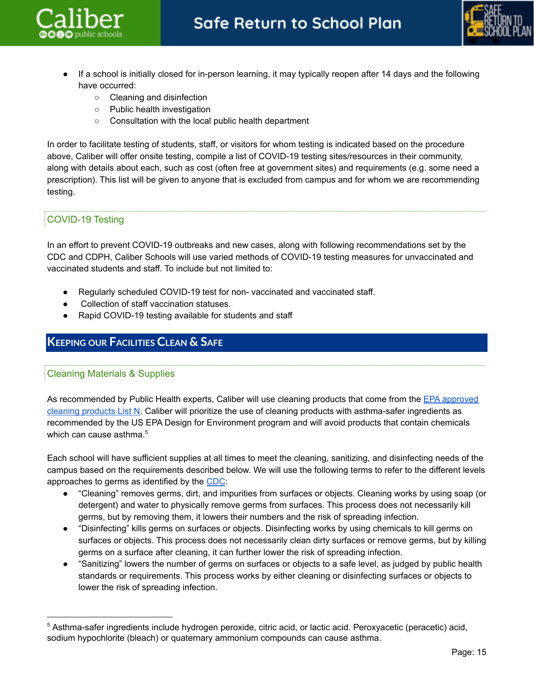



- If a school is initially closed for in-person learning, it may typically reopen after 14 days and the following have occurred:
	- Cleaning and disinfection
	- Public health investigation
	- Consultation with the local public health department

In order to facilitate testing of students, staff, or visitors for whom testing is indicated based on the procedure above, Caliber will offer onsite testing, compile a list of COVID-19 testing sites/resources in their community, along with details about each, such as cost (often free at government sites) and requirements (e.g. some need a prescription). This list will be given to anyone that is excluded from campus and for whom we are recommending testing.

# <span id="page-14-0"></span>COVID-19 Testing

In an effort to prevent COVID-19 outbreaks and new cases, along with following recommendations set by the CDC and CDPH, Caliber Schools will use varied methods of COVID-19 testing measures for unvaccinated and vaccinated students and staff. To include but not limited to:

- Regularly scheduled COVID-19 test for non- vaccinated and vaccinated staff.
- Collection of staff vaccination statuses.
- Rapid COVID-19 testing available for students and staff

# <span id="page-14-2"></span><span id="page-14-1"></span>**KEEPING OUR FACILITIES CLEAN & SAFE**

## Cleaning Materials & Supplies

As recommended by Public Health experts, Caliber will use cleaning products that come from the EPA [approved](https://www.epa.gov/pesticide-registration/list-n-disinfectants-use-against-sars-cov-2-covid-19) cleaning [products](https://www.epa.gov/pesticide-registration/list-n-disinfectants-use-against-sars-cov-2-covid-19) List N. Caliber will prioritize the use of cleaning products with asthma-safer ingredients as recommended by the US EPA Design for Environment program and will avoid products that contain chemicals which can cause asthma.<sup>5</sup>

Each school will have sufficient supplies at all times to meet the cleaning, sanitizing, and disinfecting needs of the campus based on the requirements described below. We will use the following terms to refer to the different levels approaches to germs as identified by the [CDC](https://www.cdc.gov/flu/school/cleaning.htm):

- "Cleaning" removes germs, dirt, and impurities from surfaces or objects. Cleaning works by using soap (or detergent) and water to physically remove germs from surfaces. This process does not necessarily kill germs, but by removing them, it lowers their numbers and the risk of spreading infection.
- "Disinfecting" kills germs on surfaces or objects. Disinfecting works by using chemicals to kill germs on surfaces or objects. This process does not necessarily clean dirty surfaces or remove germs, but by killing germs on a surface after cleaning, it can further lower the risk of spreading infection.
- "Sanitizing" lowers the number of germs on surfaces or objects to a safe level, as judged by public health standards or requirements. This process works by either cleaning or disinfecting surfaces or objects to lower the risk of spreading infection.

<sup>5</sup> Asthma-safer ingredients include hydrogen peroxide, citric acid, or lactic acid. Peroxyacetic (peracetic) acid, sodium hypochlorite (bleach) or quaternary ammonium compounds can cause asthma.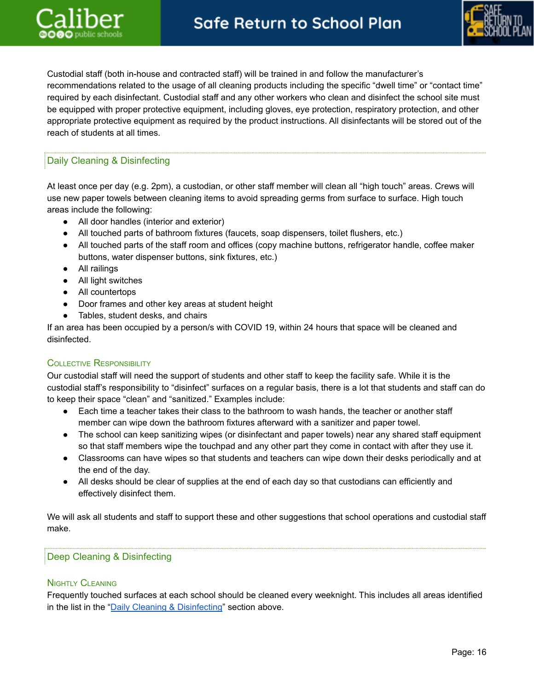

Custodial staff (both in-house and contracted staff) will be trained in and follow the manufacturer's recommendations related to the usage of all cleaning products including the specific "dwell time" or "contact time" required by each disinfectant. Custodial staff and any other workers who clean and disinfect the school site must be equipped with proper protective equipment, including gloves, eye protection, respiratory protection, and other appropriate protective equipment as required by the product instructions. All disinfectants will be stored out of the reach of students at all times.

# <span id="page-15-0"></span>Daily Cleaning & Disinfecting

At least once per day (e.g. 2pm), a custodian, or other staff member will clean all "high touch" areas. Crews will use new paper towels between cleaning items to avoid spreading germs from surface to surface. High touch areas include the following:

- All door handles (interior and exterior)
- All touched parts of bathroom fixtures (faucets, soap dispensers, toilet flushers, etc.)
- All touched parts of the staff room and offices (copy machine buttons, refrigerator handle, coffee maker buttons, water dispenser buttons, sink fixtures, etc.)
- All railings
- All light switches
- All countertops
- Door frames and other key areas at student height
- Tables, student desks, and chairs

If an area has been occupied by a person/s with COVID 19, within 24 hours that space will be cleaned and disinfected.

## COLLECTIVE RESPONSIBILITY

Our custodial staff will need the support of students and other staff to keep the facility safe. While it is the custodial staff's responsibility to "disinfect" surfaces on a regular basis, there is a lot that students and staff can do to keep their space "clean" and "sanitized." Examples include:

- Each time a teacher takes their class to the bathroom to wash hands, the teacher or another staff member can wipe down the bathroom fixtures afterward with a sanitizer and paper towel.
- The school can keep sanitizing wipes (or disinfectant and paper towels) near any shared staff equipment so that staff members wipe the touchpad and any other part they come in contact with after they use it.
- Classrooms can have wipes so that students and teachers can wipe down their desks periodically and at the end of the day.
- All desks should be clear of supplies at the end of each day so that custodians can efficiently and effectively disinfect them.

We will ask all students and staff to support these and other suggestions that school operations and custodial staff make.

# <span id="page-15-1"></span>Deep Cleaning & Disinfecting

## NIGHTLY CLEANING

Frequently touched surfaces at each school should be cleaned every weeknight. This includes all areas identified in the list in the "Daily Cleaning & [Disinfecting](#page-15-0)" section above.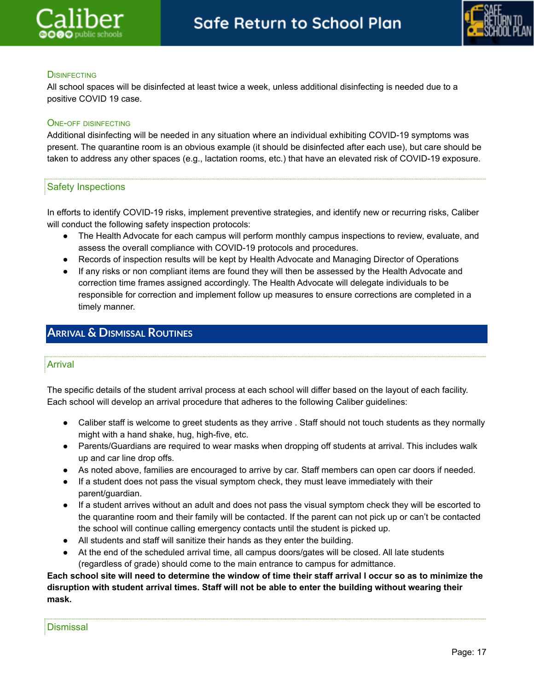



# **DISINFECTING**

All school spaces will be disinfected at least twice a week, unless additional disinfecting is needed due to a positive COVID 19 case.

# ONE-OFF DISINFECTING

Additional disinfecting will be needed in any situation where an individual exhibiting COVID-19 symptoms was present. The quarantine room is an obvious example (it should be disinfected after each use), but care should be taken to address any other spaces (e.g., lactation rooms, etc.) that have an elevated risk of COVID-19 exposure.

# <span id="page-16-0"></span>Safety Inspections

In efforts to identify COVID-19 risks, implement preventive strategies, and identify new or recurring risks, Caliber will conduct the following safety inspection protocols:

- The Health Advocate for each campus will perform monthly campus inspections to review, evaluate, and assess the overall compliance with COVID-19 protocols and procedures.
- Records of inspection results will be kept by Health Advocate and Managing Director of Operations
- If any risks or non compliant items are found they will then be assessed by the Health Advocate and correction time frames assigned accordingly. The Health Advocate will delegate individuals to be responsible for correction and implement follow up measures to ensure corrections are completed in a timely manner.

# <span id="page-16-2"></span><span id="page-16-1"></span>**ARRIVAL & DISMISSAL ROUTINES**

# Arrival

The specific details of the student arrival process at each school will differ based on the layout of each facility. Each school will develop an arrival procedure that adheres to the following Caliber guidelines:

- Caliber staff is welcome to greet students as they arrive . Staff should not touch students as they normally might with a hand shake, hug, high-five, etc.
- Parents/Guardians are required to wear masks when dropping off students at arrival. This includes walk up and car line drop offs.
- As noted above, families are encouraged to arrive by car. Staff members can open car doors if needed.
- If a student does not pass the visual symptom check, they must leave immediately with their parent/guardian.
- If a student arrives without an adult and does not pass the visual symptom check they will be escorted to the quarantine room and their family will be contacted. If the parent can not pick up or can't be contacted the school will continue calling emergency contacts until the student is picked up.
- All students and staff will sanitize their hands as they enter the building.
- At the end of the scheduled arrival time, all campus doors/gates will be closed. All late students (regardless of grade) should come to the main entrance to campus for admittance.

# <span id="page-16-3"></span>Each school site will need to determine the window of time their staff arrival I occur so as to minimize the **disruption with student arrival times. Staff will not be able to enter the building without wearing their mask.**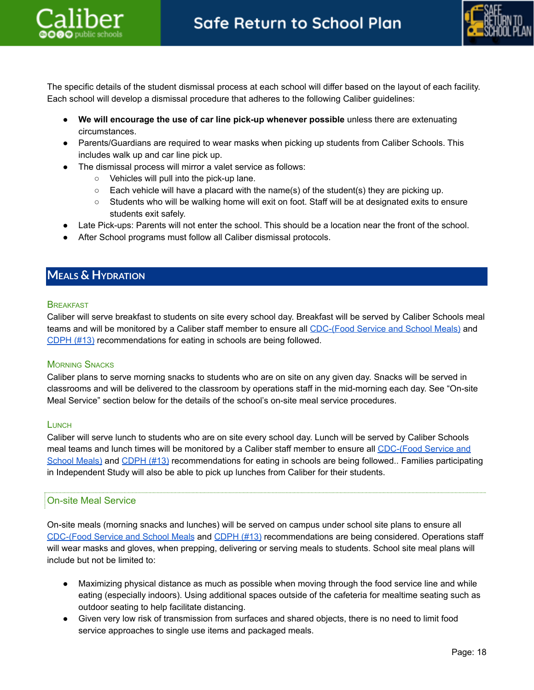



The specific details of the student dismissal process at each school will differ based on the layout of each facility. Each school will develop a dismissal procedure that adheres to the following Caliber guidelines:

- **We will encourage the use of car line pick-up whenever possible** unless there are extenuating circumstances.
- Parents/Guardians are required to wear masks when picking up students from Caliber Schools. This includes walk up and car line pick up.
- The dismissal process will mirror a valet service as follows:
	- Vehicles will pull into the pick-up lane.
	- $\circ$  Each vehicle will have a placard with the name(s) of the student(s) they are picking up.
	- Students who will be walking home will exit on foot. Staff will be at designated exits to ensure students exit safely.
- Late Pick-ups: Parents will not enter the school. This should be a location near the front of the school.
- After School programs must follow all Caliber dismissal protocols.

# <span id="page-17-0"></span>**MEALS & HYDRATION**

#### **BREAKFAST**

Caliber will serve breakfast to students on site every school day. Breakfast will be served by Caliber Schools meal teams and will be monitored by a Caliber staff member to ensure all [CDC-\(Food](https://www.cdc.gov/coronavirus/2019-ncov/community/schools-childcare/k-12-guidance.html) Service and School Meals) and [CDPH](https://www.cdph.ca.gov/Programs/CID/DCDC/Pages/COVID-19/K-12-Guidance-2021-22-School-Year.aspx) (#13) recommendations for eating in schools are being followed.

## **MORNING SNACKS**

Caliber plans to serve morning snacks to students who are on site on any given day. Snacks will be served in classrooms and will be delivered to the classroom by operations staff in the mid-morning each day. See "On-site Meal Service" section below for the details of the school's on-site meal service procedures.

## **LUNCH**

Caliber will serve lunch to students who are on site every school day. Lunch will be served by Caliber Schools meal teams and lunch times will be monitored by a Caliber staff member to ensure all [CDC-\(Food](https://www.cdc.gov/coronavirus/2019-ncov/community/schools-childcare/k-12-guidance.html) Service and [School](https://www.cdc.gov/coronavirus/2019-ncov/community/schools-childcare/k-12-guidance.html) Meals) and [CDPH](https://www.cdph.ca.gov/Programs/CID/DCDC/Pages/COVID-19/K-12-Guidance-2021-22-School-Year.aspx) (#13) recommendations for eating in schools are being followed.. Families participating in Independent Study will also be able to pick up lunches from Caliber for their students.

## <span id="page-17-1"></span>On-site Meal Service

On-site meals (morning snacks and lunches) will be served on campus under school site plans to ensure all [CDC-\(Food](https://www.cdc.gov/coronavirus/2019-ncov/community/schools-childcare/k-12-guidance.html) Service and School Meals and [CDPH](https://www.cdph.ca.gov/Programs/CID/DCDC/Pages/COVID-19/K-12-Guidance-2021-22-School-Year.aspx) (#13) recommendations are being considered. Operations staff will wear masks and gloves, when prepping, delivering or serving meals to students. School site meal plans will include but not be limited to:

- Maximizing physical distance as much as possible when moving through the food service line and while eating (especially indoors). Using additional spaces outside of the cafeteria for mealtime seating such as outdoor seating to help facilitate distancing.
- Given very low risk of transmission from surfaces and shared objects, there is no need to limit food service approaches to single use items and packaged meals.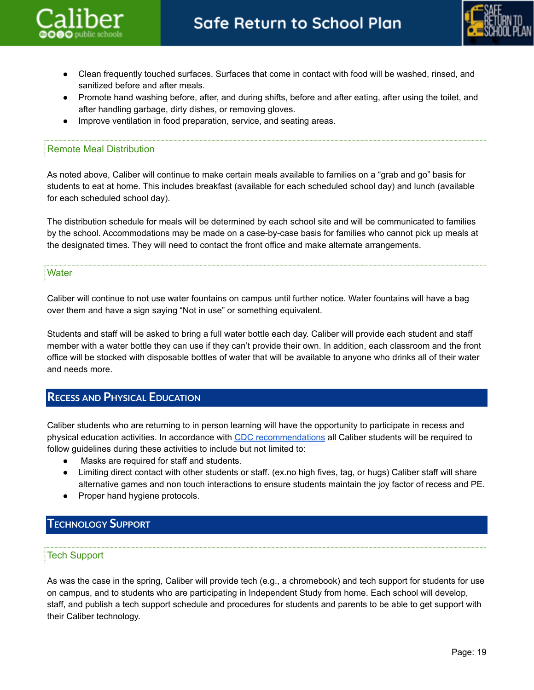



- Clean frequently touched surfaces. Surfaces that come in contact with food will be washed, rinsed, and sanitized before and after meals.
- Promote hand washing before, after, and during shifts, before and after eating, after using the toilet, and after handling garbage, dirty dishes, or removing gloves.
- Improve ventilation in food preparation, service, and seating areas.

# <span id="page-18-0"></span>Remote Meal Distribution

As noted above, Caliber will continue to make certain meals available to families on a "grab and go" basis for students to eat at home. This includes breakfast (available for each scheduled school day) and lunch (available for each scheduled school day).

The distribution schedule for meals will be determined by each school site and will be communicated to families by the school. Accommodations may be made on a case-by-case basis for families who cannot pick up meals at the designated times. They will need to contact the front office and make alternate arrangements.

## <span id="page-18-1"></span>**Water**

Caliber will continue to not use water fountains on campus until further notice. Water fountains will have a bag over them and have a sign saying "Not in use" or something equivalent.

Students and staff will be asked to bring a full water bottle each day. Caliber will provide each student and staff member with a water bottle they can use if they can't provide their own. In addition, each classroom and the front office will be stocked with disposable bottles of water that will be available to anyone who drinks all of their water and needs more.

# <span id="page-18-2"></span>**RECESS AND PHYSICAL EDUCATION**

Caliber students who are returning to in person learning will have the opportunity to participate in recess and physical education activities. In accordance with CDC [recommendations](https://www.cdc.gov/coronavirus/2019-ncov/community/schools-childcare/k-12-guidance.html) all Caliber students will be required to follow guidelines during these activities to include but not limited to:

- Masks are required for staff and students.
- Limiting direct contact with other students or staff. (ex.no high fives, tag, or hugs) Caliber staff will share alternative games and non touch interactions to ensure students maintain the joy factor of recess and PE.
- Proper hand hygiene protocols.

# <span id="page-18-4"></span><span id="page-18-3"></span>**TECHNOLOGY SUPPORT**

# Tech Support

As was the case in the spring, Caliber will provide tech (e.g., a chromebook) and tech support for students for use on campus, and to students who are participating in Independent Study from home. Each school will develop, staff, and publish a tech support schedule and procedures for students and parents to be able to get support with their Caliber technology.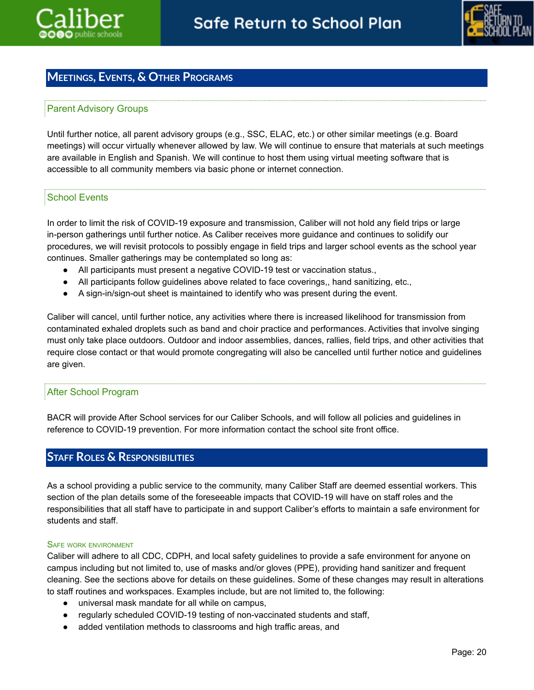

# <span id="page-19-0"></span>**MEETINGS, EVENTS, & OTHER PROGRAMS**

# <span id="page-19-1"></span>Parent Advisory Groups

Until further notice, all parent advisory groups (e.g., SSC, ELAC, etc.) or other similar meetings (e.g. Board meetings) will occur virtually whenever allowed by law. We will continue to ensure that materials at such meetings are available in English and Spanish. We will continue to host them using virtual meeting software that is accessible to all community members via basic phone or internet connection.

# School Events

In order to limit the risk of COVID-19 exposure and transmission, Caliber will not hold any field trips or large in-person gatherings until further notice. As Caliber receives more guidance and continues to solidify our procedures, we will revisit protocols to possibly engage in field trips and larger school events as the school year continues. Smaller gatherings may be contemplated so long as:

- All participants must present a negative COVID-19 test or vaccination status.,
- All participants follow guidelines above related to face coverings,, hand sanitizing, etc.,
- A sign-in/sign-out sheet is maintained to identify who was present during the event.

Caliber will cancel, until further notice, any activities where there is increased likelihood for transmission from contaminated exhaled droplets such as band and choir practice and performances. Activities that involve singing must only take place outdoors. Outdoor and indoor assemblies, dances, rallies, field trips, and other activities that require close contact or that would promote congregating will also be cancelled until further notice and guidelines are given.

# <span id="page-19-2"></span>After School Program

BACR will provide After School services for our Caliber Schools, and will follow all policies and guidelines in reference to COVID-19 prevention. For more information contact the school site front office.

# <span id="page-19-3"></span>**STAFF ROLES & RESPONSIBILITIES**

As a school providing a public service to the community, many Caliber Staff are deemed essential workers. This section of the plan details some of the foreseeable impacts that COVID-19 will have on staff roles and the responsibilities that all staff have to participate in and support Caliber's efforts to maintain a safe environment for students and staff.

#### SAFE WORK ENVIRONMENT

Caliber will adhere to all CDC, CDPH, and local safety guidelines to provide a safe environment for anyone on campus including but not limited to, use of masks and/or gloves (PPE), providing hand sanitizer and frequent cleaning. See the sections above for details on these guidelines. Some of these changes may result in alterations to staff routines and workspaces. Examples include, but are not limited to, the following:

- universal mask mandate for all while on campus,
- regularly scheduled COVID-19 testing of non-vaccinated students and staff,
- added ventilation methods to classrooms and high traffic areas, and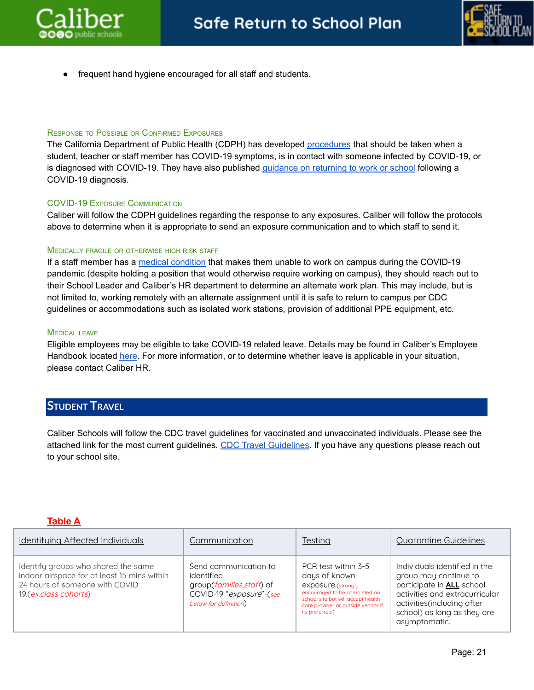



frequent hand hygiene encouraged for all staff and students.

#### RESPONSE TO POSSIBLE OR CONFIRMED EXPOSURES

The California Department of Public Health (CDPH) has developed [procedures](https://www.cdph.ca.gov/Programs/CID/DCDC/Pages/COVID-19/K-12-Guidance-2021-22-School-Year.aspx) that should be taken when a student, teacher or staff member has COVID-19 symptoms, is in contact with someone infected by COVID-19, or is diagnosed with COVID-19. They have also published *[guidance](https://www.cdph.ca.gov/Programs/CID/DCDC/Pages/COVID-19/Guidance-on-Returning-to-Work-or-School-Following-COVID-19-Diagnosis.aspx) on returning to work or school* following a COVID-19 diagnosis.

#### COVID-19 EXPOSURE COMMUNICATION

Caliber will follow the CDPH guidelines regarding the response to any exposures. Caliber will follow the protocols above to determine when it is appropriate to send an exposure communication and to which staff to send it.

#### MEDICALLY FRAGILE OR OTHERWISE HIGH RISK STAFF

If a staff member has a medical [condition](https://www.cdc.gov/coronavirus/2019-ncov/need-extra-precautions/people-with-medical-conditions.html?CDC_AA_refVal=https%3A%2F%2Fwww.cdc.gov%2Fcoronavirus%2F2019-ncov%2Fneed-extra-precautions%2Fgroups-at-higher-risk.html) that makes them unable to work on campus during the COVID-19 pandemic (despite holding a position that would otherwise require working on campus), they should reach out to their School Leader and Caliber's HR department to determine an alternate work plan. This may include, but is not limited to, working remotely with an alternate assignment until it is safe to return to campus per CDC guidelines or accommodations such as isolated work stations, provision of additional PPE equipment, etc.

#### MEDICAL LEAVE

Eligible employees may be eligible to take COVID-19 related leave. Details may be found in Caliber's Employee Handbook located [here](https://drive.google.com/file/d/1Ct9A1ZXupNrgyLigVoMmZQKRZl86TDJn/view?usp=sharing). For more information, or to determine whether leave is applicable in your situation, please contact Caliber HR.

# **STUDENT TRAVEL**

Caliber Schools will follow the CDC travel guidelines for vaccinated and unvaccinated individuals. Please see the attached link for the most current guidelines. CDC Travel [Guidelines.](https://www.cdc.gov/coronavirus/2019-ncov/travelers/travel-during-covid19.html) If you have any questions please reach out to your school site.

## <span id="page-20-0"></span>**Table A**

| Identifuing Affected Individuals                                                                                                              | Communication                                                                                                         | Testing                                                                                                                                                                                    | <b>Ouarantine Guidelines</b>                                                                                                                                                                               |
|-----------------------------------------------------------------------------------------------------------------------------------------------|-----------------------------------------------------------------------------------------------------------------------|--------------------------------------------------------------------------------------------------------------------------------------------------------------------------------------------|------------------------------------------------------------------------------------------------------------------------------------------------------------------------------------------------------------|
| Identify groups who shared the same<br>indoor airspace for at least 15 mins within<br>24 hours of someone with COVID<br>19.(ex.class cohorts) | Send communication to<br>identified<br>group(families, staff) of<br>COVID-19 "exposure"-(see<br>below for definition) | PCR test within 3-5<br>days of known<br>exposure.(strongly<br>encouraged to be completed on<br>school site but will accept health<br>care provider or outside vendor if<br>its preferred.) | Individuals identified in the<br>group may continue to<br>participate in <b>ALL</b> school<br>activities and extracurricular<br>activities(including after<br>school) as long as they are<br>asymptomatic. |